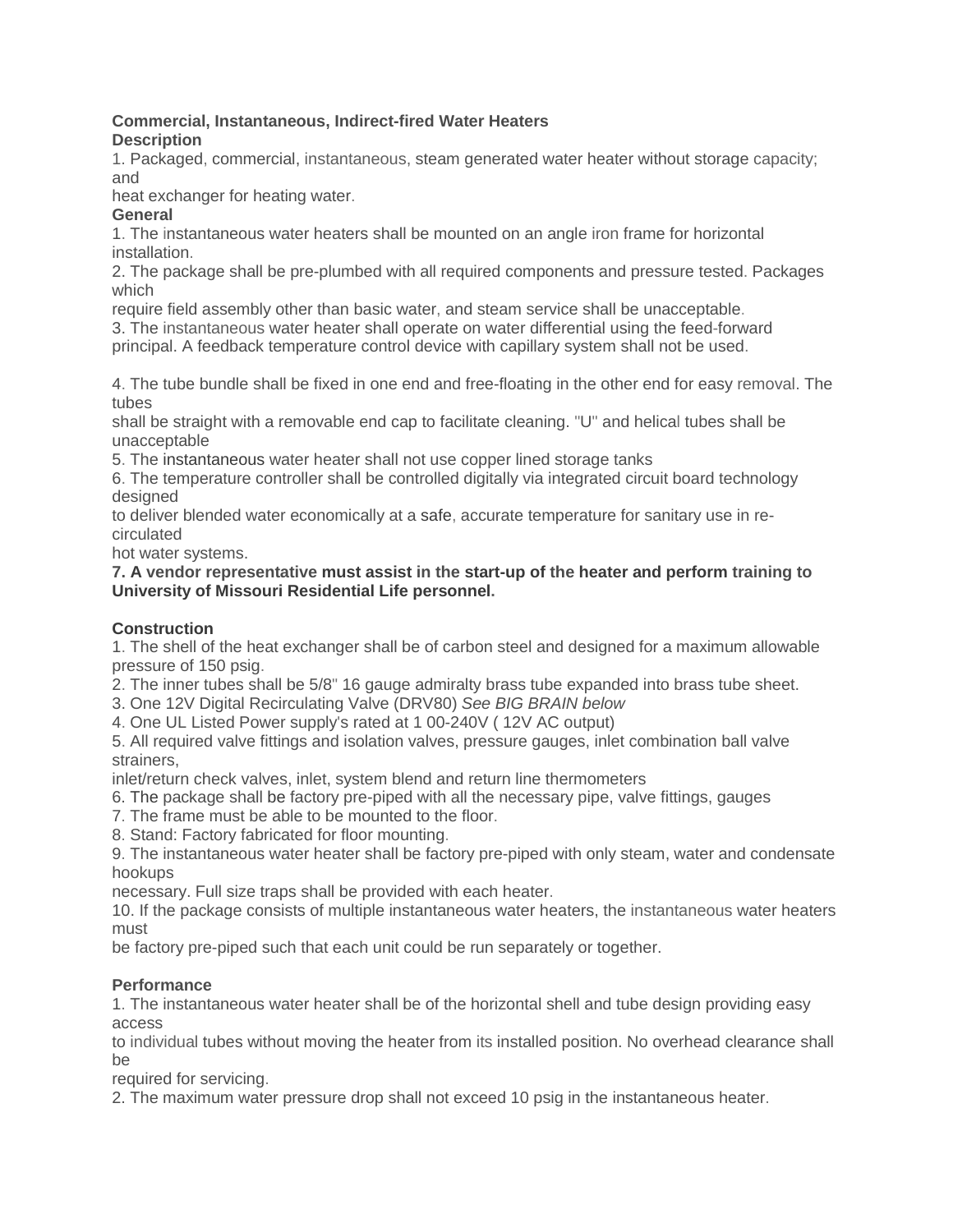#### **Commercial, Instantaneous, Indirect-fired Water Heaters Description**

1. Packaged, commercial, instantaneous, steam generated water heater without storage capacity; and

heat exchanger for heating water.

### **General**

1. The instantaneous water heaters shall be mounted on an angle iron frame for horizontal installation.

2. The package shall be pre-plumbed with all required components and pressure tested. Packages which

require field assembly other than basic water, and steam service shall be unacceptable.

3. The instantaneous water heater shall operate on water differential using the feed-forward

principal. A feedback temperature control device with capillary system shall not be used.

4. The tube bundle shall be fixed in one end and free-floating in the other end for easy removal. The tubes

shall be straight with a removable end cap to facilitate cleaning. "U" and helical tubes shall be unacceptable

5. The instantaneous water heater shall not use copper lined storage tanks

6. The temperature controller shall be controlled digitally via integrated circuit board technology designed

to deliver blended water economically at a safe, accurate temperature for sanitary use in recirculated

hot water systems.

**7. A vendor representative must assist in the start-up of the heater and perform training to University of Missouri Residential Life personnel.**

# **Construction**

1. The shell of the heat exchanger shall be of carbon steel and designed for a maximum allowable pressure of 150 psig.

2. The inner tubes shall be 5/8" 16 gauge admiralty brass tube expanded into brass tube sheet.

3. One 12V Digital Recirculating Valve (DRV80) *See BIG BRAIN below*

4. One UL Listed Power supply's rated at 1 00-240V ( 12V AC output)

5. All required valve fittings and isolation valves, pressure gauges, inlet combination ball valve strainers,

inlet/return check valves, inlet, system blend and return line thermometers

- 6. The package shall be factory pre-piped with all the necessary pipe, valve fittings, gauges
- 7. The frame must be able to be mounted to the floor.
- 8. Stand: Factory fabricated for floor mounting.

9. The instantaneous water heater shall be factory pre-piped with only steam, water and condensate hookups

necessary. Full size traps shall be provided with each heater.

10. If the package consists of multiple instantaneous water heaters, the instantaneous water heaters must

be factory pre-piped such that each unit could be run separately or together.

# **Performance**

1. The instantaneous water heater shall be of the horizontal shell and tube design providing easy access

to individual tubes without moving the heater from its installed position. No overhead clearance shall be

required for servicing.

2. The maximum water pressure drop shall not exceed 10 psig in the instantaneous heater.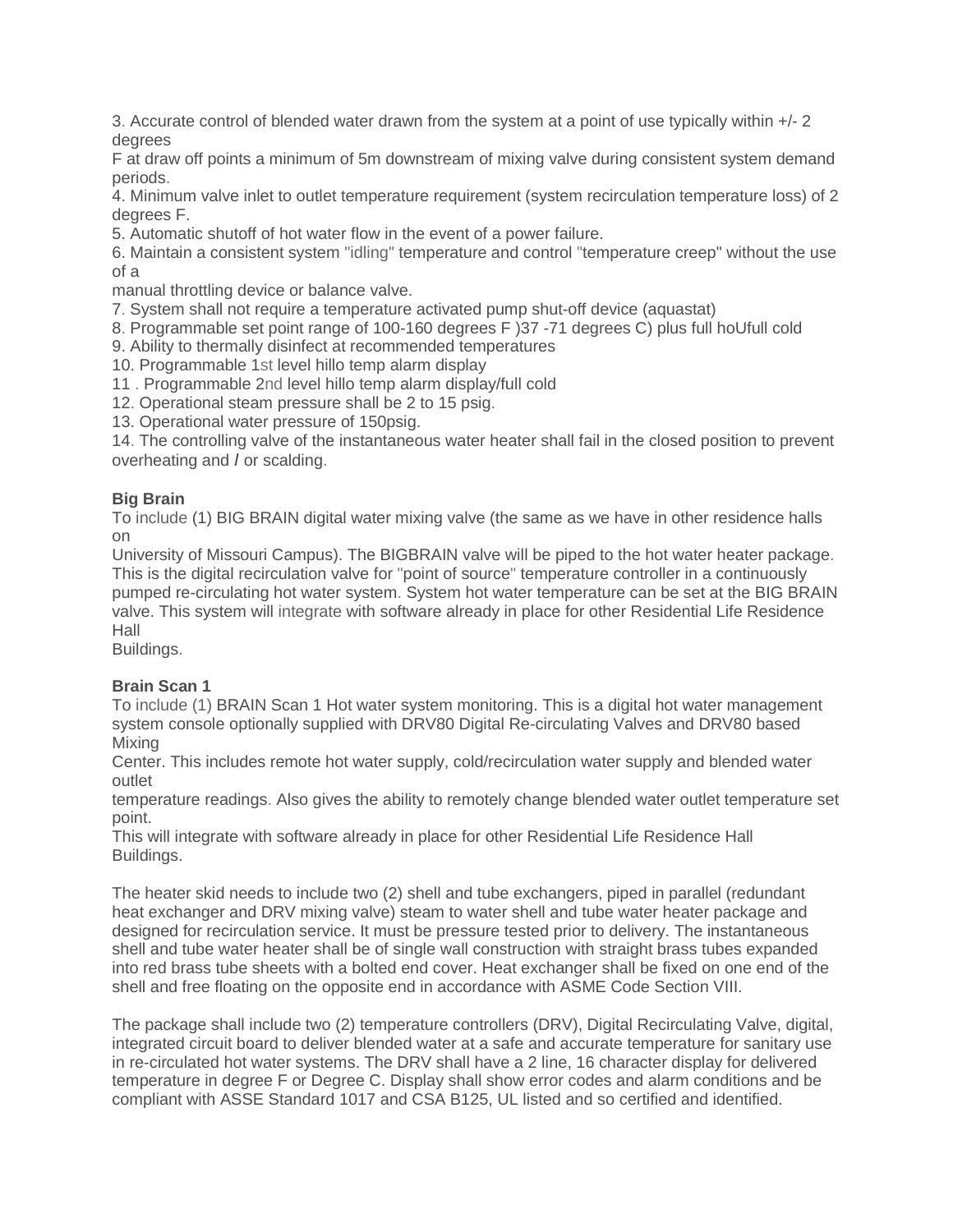3. Accurate control of blended water drawn from the system at a point of use typically within +/- 2 degrees

F at draw off points a minimum of 5m downstream of mixing valve during consistent system demand periods.

4. Minimum valve inlet to outlet temperature requirement (system recirculation temperature loss) of 2 degrees F.

5. Automatic shutoff of hot water flow in the event of a power failure.

6. Maintain a consistent system "idling" temperature and control "temperature creep" without the use of a

manual throttling device or balance valve.

7. System shall not require a temperature activated pump shut-off device (aquastat)

8. Programmable set point range of 100-160 degrees F )37 -71 degrees C) plus full hoUfull cold

9. Ability to thermally disinfect at recommended temperatures

10. Programmable 1st level hillo temp alarm display

11 . Programmable 2nd level hillo temp alarm display/full cold

12. Operational steam pressure shall be 2 to 15 psig.

13. Operational water pressure of 150psig.

14. The controlling valve of the instantaneous water heater shall fail in the closed position to prevent overheating and *I* or scalding.

#### **Big Brain**

To include (1) BIG BRAIN digital water mixing valve (the same as we have in other residence halls on

University of Missouri Campus). The BIGBRAIN valve will be piped to the hot water heater package. This is the digital recirculation valve for "point of source" temperature controller in a continuously pumped re-circulating hot water system. System hot water temperature can be set at the BIG BRAIN valve. This system will integrate with software already in place for other Residential Life Residence Hall

Buildings.

#### **Brain Scan 1**

To include (1) BRAIN Scan 1 Hot water system monitoring. This is a digital hot water management system console optionally supplied with DRV80 Digital Re-circulating Valves and DRV80 based Mixing

Center. This includes remote hot water supply, cold/recirculation water supply and blended water outlet

temperature readings. Also gives the ability to remotely change blended water outlet temperature set point.

This will integrate with software already in place for other Residential Life Residence Hall Buildings.

The heater skid needs to include two (2) shell and tube exchangers, piped in parallel (redundant heat exchanger and DRV mixing valve) steam to water shell and tube water heater package and designed for recirculation service. It must be pressure tested prior to delivery. The instantaneous shell and tube water heater shall be of single wall construction with straight brass tubes expanded into red brass tube sheets with a bolted end cover. Heat exchanger shall be fixed on one end of the shell and free floating on the opposite end in accordance with ASME Code Section VIII.

The package shall include two (2) temperature controllers (DRV), Digital Recirculating Valve, digital, integrated circuit board to deliver blended water at a safe and accurate temperature for sanitary use in re-circulated hot water systems. The DRV shall have a 2 line, 16 character display for delivered temperature in degree F or Degree C. Display shall show error codes and alarm conditions and be compliant with ASSE Standard 1017 and CSA B125, UL listed and so certified and identified.